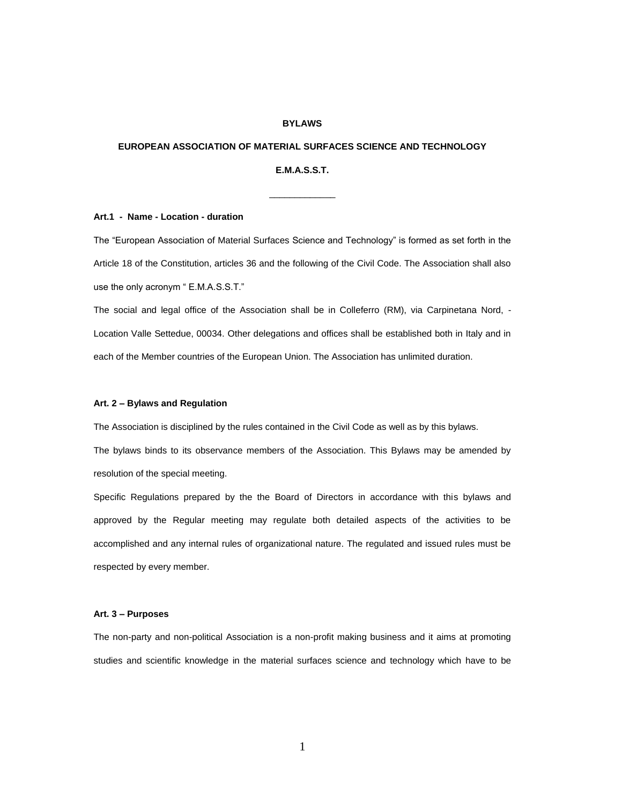## **BYLAWS**

## **EUROPEAN ASSOCIATION OF MATERIAL SURFACES SCIENCE AND TECHNOLOGY**

## **E.M.A.S.S.T.**

\_\_\_\_\_\_\_\_\_\_\_\_\_

### **Art.1 - Name - Location - duration**

The "European Association of Material Surfaces Science and Technology" is formed as set forth in the Article 18 of the Constitution, articles 36 and the following of the Civil Code. The Association shall also use the only acronym " E.M.A.S.S.T."

The social and legal office of the Association shall be in Colleferro (RM), via Carpinetana Nord, - Location Valle Settedue, 00034. Other delegations and offices shall be established both in Italy and in each of the Member countries of the European Union. The Association has unlimited duration.

#### **Art. 2 – Bylaws and Regulation**

The Association is disciplined by the rules contained in the Civil Code as well as by this bylaws.

The bylaws binds to its observance members of the Association. This Bylaws may be amended by resolution of the special meeting.

Specific Regulations prepared by the the Board of Directors in accordance with this bylaws and approved by the Regular meeting may regulate both detailed aspects of the activities to be accomplished and any internal rules of organizational nature. The regulated and issued rules must be respected by every member.

#### **Art. 3 – Purposes**

The non-party and non-political Association is a non-profit making business and it aims at promoting studies and scientific knowledge in the material surfaces science and technology which have to be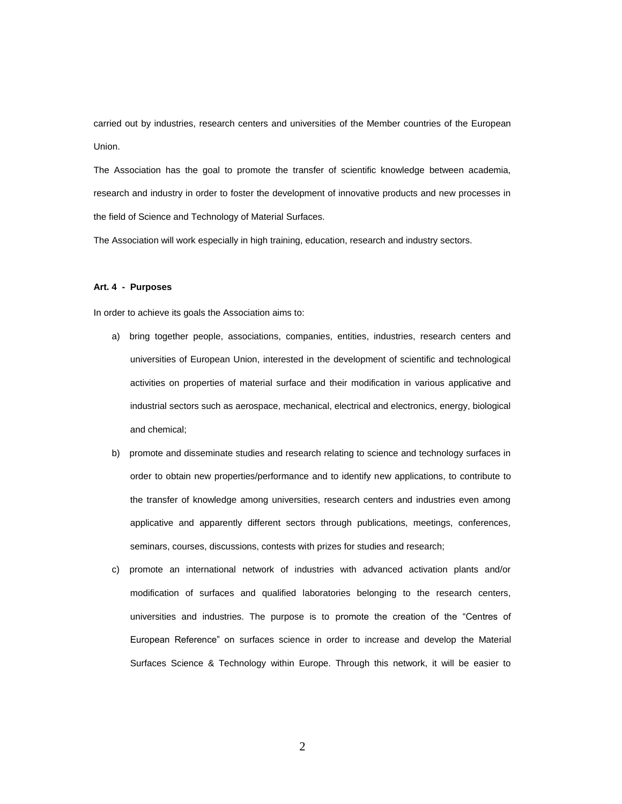carried out by industries, research centers and universities of the Member countries of the European Union.

The Association has the goal to promote the transfer of scientific knowledge between academia, research and industry in order to foster the development of innovative products and new processes in the field of Science and Technology of Material Surfaces.

The Association will work especially in high training, education, research and industry sectors.

### **Art. 4 - Purposes**

In order to achieve its goals the Association aims to:

- a) bring together people, associations, companies, entities, industries, research centers and universities of European Union, interested in the development of scientific and technological activities on properties of material surface and their modification in various applicative and industrial sectors such as aerospace, mechanical, electrical and electronics, energy, biological and chemical;
- b) promote and disseminate studies and research relating to science and technology surfaces in order to obtain new properties/performance and to identify new applications, to contribute to the transfer of knowledge among universities, research centers and industries even among applicative and apparently different sectors through publications, meetings, conferences, seminars, courses, discussions, contests with prizes for studies and research;
- c) promote an international network of industries with advanced activation plants and/or modification of surfaces and qualified laboratories belonging to the research centers, universities and industries. The purpose is to promote the creation of the "Centres of European Reference" on surfaces science in order to increase and develop the Material Surfaces Science & Technology within Europe. Through this network, it will be easier to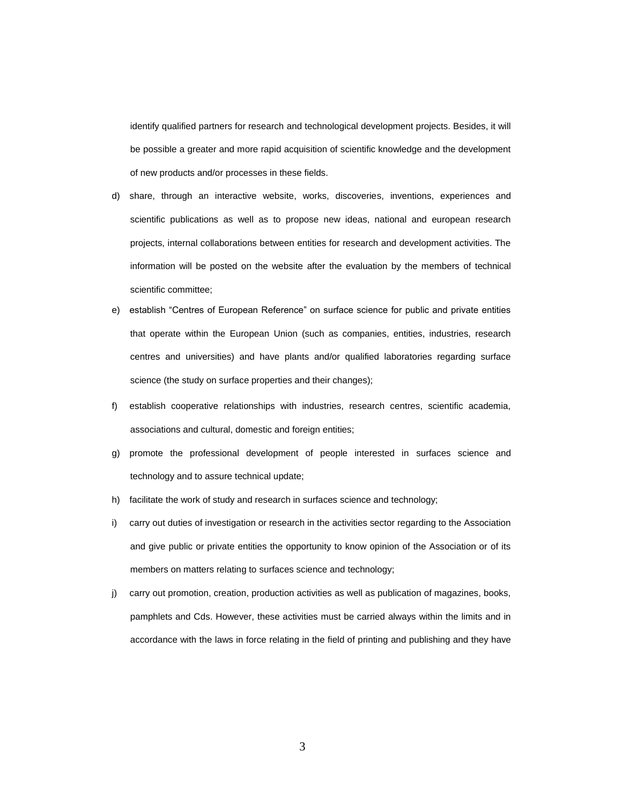identify qualified partners for research and technological development projects. Besides, it will be possible a greater and more rapid acquisition of scientific knowledge and the development of new products and/or processes in these fields.

- d) share, through an interactive website, works, discoveries, inventions, experiences and scientific publications as well as to propose new ideas, national and european research projects, internal collaborations between entities for research and development activities. The information will be posted on the website after the evaluation by the members of technical scientific committee;
- e) establish "Centres of European Reference" on surface science for public and private entities that operate within the European Union (such as companies, entities, industries, research centres and universities) and have plants and/or qualified laboratories regarding surface science (the study on surface properties and their changes);
- f) establish cooperative relationships with industries, research centres, scientific academia, associations and cultural, domestic and foreign entities;
- g) promote the professional development of people interested in surfaces science and technology and to assure technical update;
- h) facilitate the work of study and research in surfaces science and technology;
- i) carry out duties of investigation or research in the activities sector regarding to the Association and give public or private entities the opportunity to know opinion of the Association or of its members on matters relating to surfaces science and technology;
- j) carry out promotion, creation, production activities as well as publication of magazines, books, pamphlets and Cds. However, these activities must be carried always within the limits and in accordance with the laws in force relating in the field of printing and publishing and they have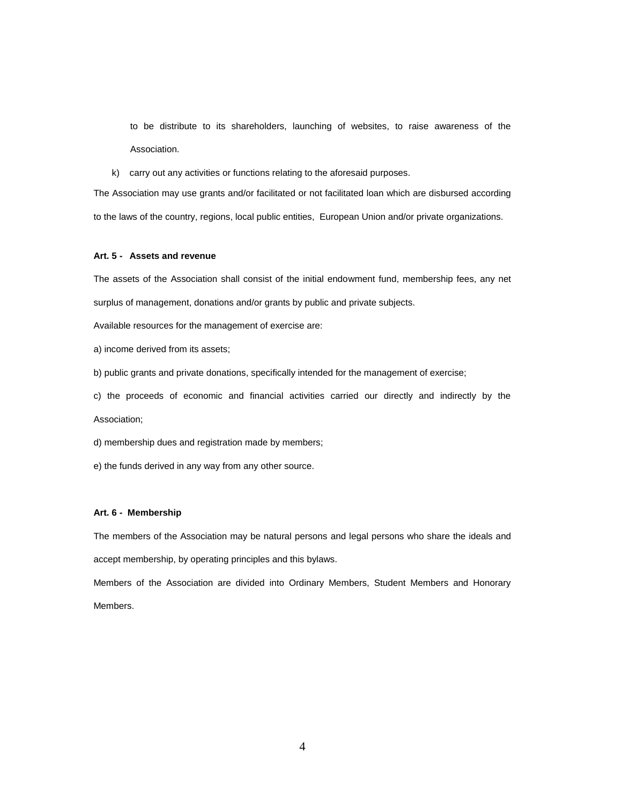to be distribute to its shareholders, launching of websites, to raise awareness of the Association.

k) carry out any activities or functions relating to the aforesaid purposes.

The Association may use grants and/or facilitated or not facilitated loan which are disbursed according to the laws of the country, regions, local public entities, European Union and/or private organizations.

## **Art. 5 - Assets and revenue**

The assets of the Association shall consist of the initial endowment fund, membership fees, any net surplus of management, donations and/or grants by public and private subjects.

Available resources for the management of exercise are:

a) income derived from its assets;

b) public grants and private donations, specifically intended for the management of exercise;

c) the proceeds of economic and financial activities carried our directly and indirectly by the Association;

d) membership dues and registration made by members;

e) the funds derived in any way from any other source.

## **Art. 6 - Membership**

The members of the Association may be natural persons and legal persons who share the ideals and accept membership, by operating principles and this bylaws.

Members of the Association are divided into Ordinary Members, Student Members and Honorary Members.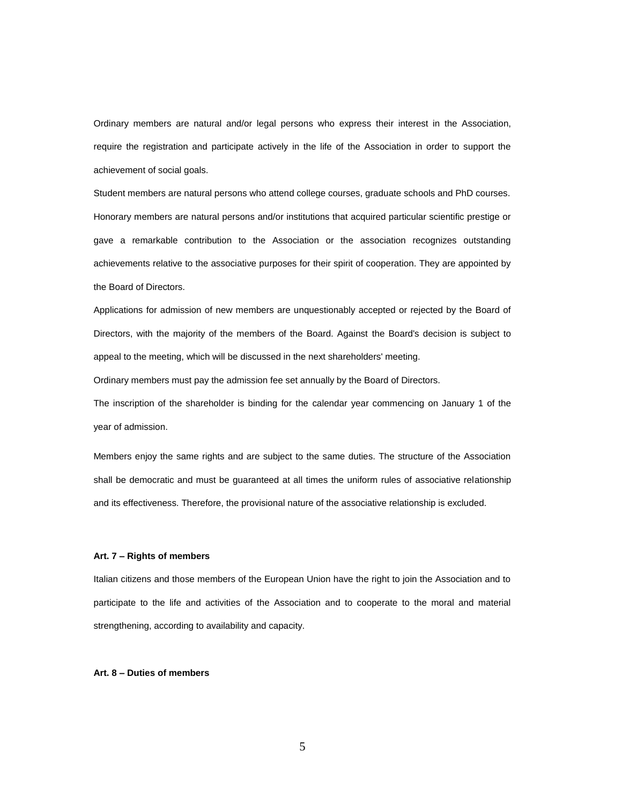Ordinary members are natural and/or legal persons who express their interest in the Association, require the registration and participate actively in the life of the Association in order to support the achievement of social goals.

Student members are natural persons who attend college courses, graduate schools and PhD courses. Honorary members are natural persons and/or institutions that acquired particular scientific prestige or gave a remarkable contribution to the Association or the association recognizes outstanding achievements relative to the associative purposes for their spirit of cooperation. They are appointed by the Board of Directors.

Applications for admission of new members are unquestionably accepted or rejected by the Board of Directors, with the majority of the members of the Board. Against the Board's decision is subject to appeal to the meeting, which will be discussed in the next shareholders' meeting.

Ordinary members must pay the admission fee set annually by the Board of Directors.

The inscription of the shareholder is binding for the calendar year commencing on January 1 of the year of admission.

Members enjoy the same rights and are subject to the same duties. The structure of the Association shall be democratic and must be guaranteed at all times the uniform rules of associative relationship and its effectiveness. Therefore, the provisional nature of the associative relationship is excluded.

### **Art. 7 – Rights of members**

Italian citizens and those members of the European Union have the right to join the Association and to participate to the life and activities of the Association and to cooperate to the moral and material strengthening, according to availability and capacity.

### **Art. 8 – Duties of members**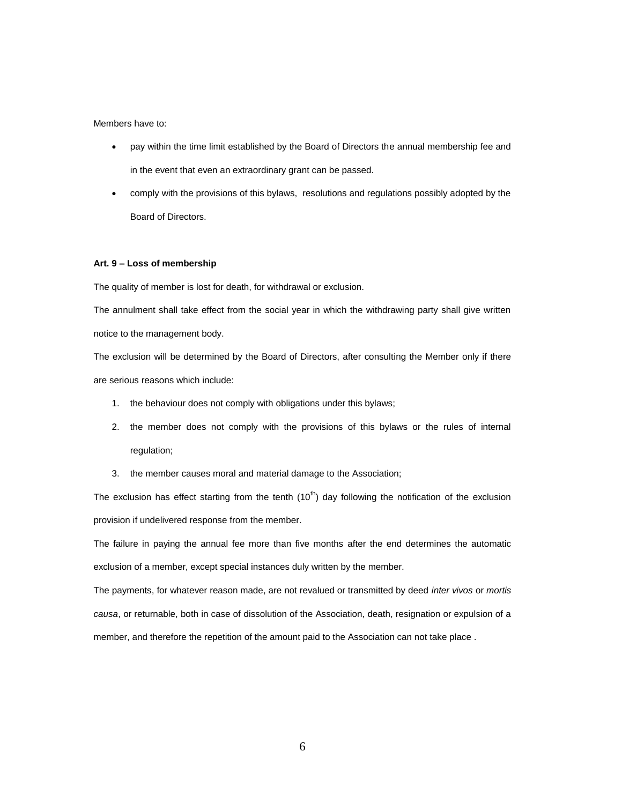### Members have to:

- pay within the time limit established by the Board of Directors the annual membership fee and in the event that even an extraordinary grant can be passed.
- comply with the provisions of this bylaws, resolutions and regulations possibly adopted by the Board of Directors.

## **Art. 9 – Loss of membership**

The quality of member is lost for death, for withdrawal or exclusion.

The annulment shall take effect from the social year in which the withdrawing party shall give written notice to the management body.

The exclusion will be determined by the Board of Directors, after consulting the Member only if there are serious reasons which include:

- 1. the behaviour does not comply with obligations under this bylaws;
- 2. the member does not comply with the provisions of this bylaws or the rules of internal regulation;
- 3. the member causes moral and material damage to the Association;

The exclusion has effect starting from the tenth  $(10<sup>th</sup>)$  day following the notification of the exclusion provision if undelivered response from the member.

The failure in paying the annual fee more than five months after the end determines the automatic exclusion of a member, except special instances duly written by the member.

The payments, for whatever reason made, are not revalued or transmitted by deed *inter vivos* or *mortis causa*, or returnable, both in case of dissolution of the Association, death, resignation or expulsion of a member, and therefore the repetition of the amount paid to the Association can not take place .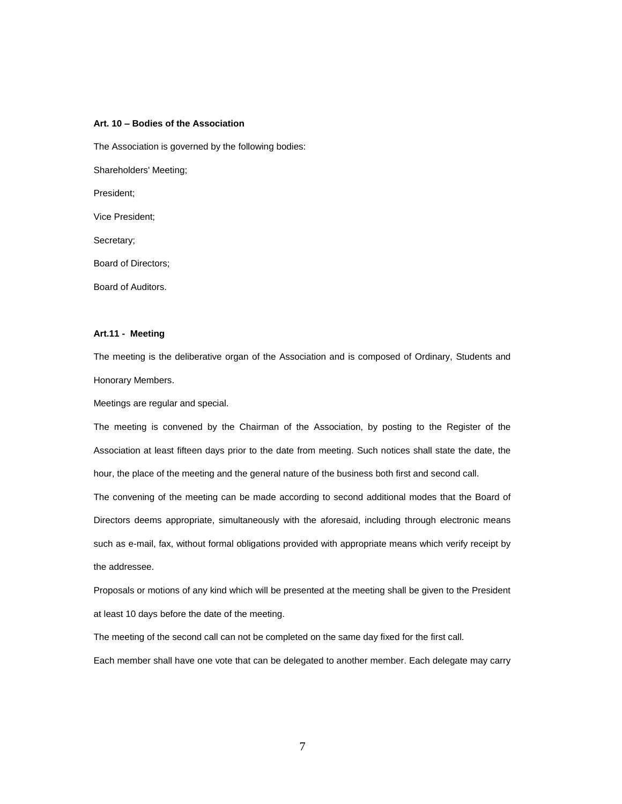## **Art. 10 – Bodies of the Association**

The Association is governed by the following bodies:

Shareholders' Meeting;

President;

Vice President;

Secretary;

Board of Directors;

Board of Auditors.

### **Art.11 - Meeting**

The meeting is the deliberative organ of the Association and is composed of Ordinary, Students and Honorary Members.

Meetings are regular and special.

The meeting is convened by the Chairman of the Association, by posting to the Register of the Association at least fifteen days prior to the date from meeting. Such notices shall state the date, the hour, the place of the meeting and the general nature of the business both first and second call.

The convening of the meeting can be made according to second additional modes that the Board of Directors deems appropriate, simultaneously with the aforesaid, including through electronic means such as e-mail, fax, without formal obligations provided with appropriate means which verify receipt by the addressee.

Proposals or motions of any kind which will be presented at the meeting shall be given to the President at least 10 days before the date of the meeting.

The meeting of the second call can not be completed on the same day fixed for the first call.

Each member shall have one vote that can be delegated to another member. Each delegate may carry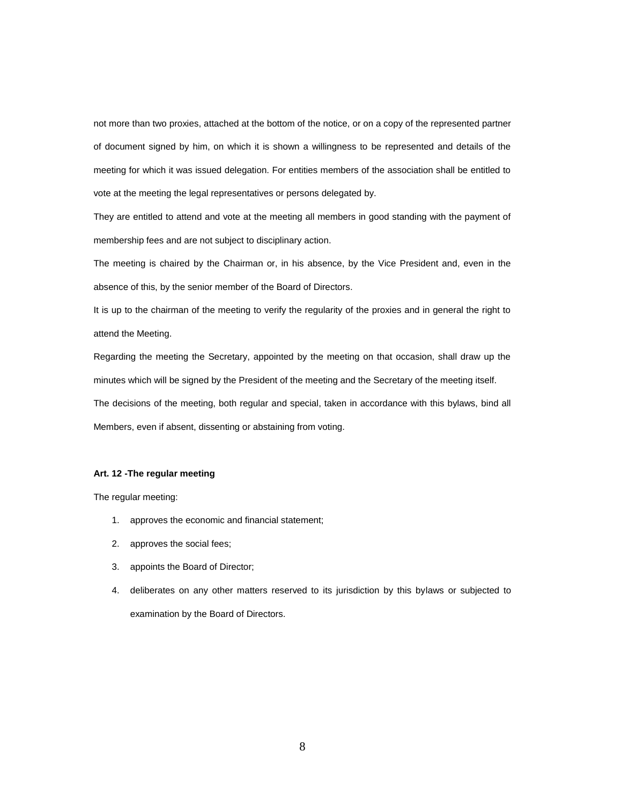not more than two proxies, attached at the bottom of the notice, or on a copy of the represented partner of document signed by him, on which it is shown a willingness to be represented and details of the meeting for which it was issued delegation. For entities members of the association shall be entitled to vote at the meeting the legal representatives or persons delegated by.

They are entitled to attend and vote at the meeting all members in good standing with the payment of membership fees and are not subject to disciplinary action.

The meeting is chaired by the Chairman or, in his absence, by the Vice President and, even in the absence of this, by the senior member of the Board of Directors.

It is up to the chairman of the meeting to verify the regularity of the proxies and in general the right to attend the Meeting.

Regarding the meeting the Secretary, appointed by the meeting on that occasion, shall draw up the minutes which will be signed by the President of the meeting and the Secretary of the meeting itself. The decisions of the meeting, both regular and special, taken in accordance with this bylaws, bind all Members, even if absent, dissenting or abstaining from voting.

### **Art. 12 -The regular meeting**

The regular meeting:

- 1. approves the economic and financial statement;
- 2. approves the social fees;
- 3. appoints the Board of Director;
- 4. deliberates on any other matters reserved to its jurisdiction by this bylaws or subjected to examination by the Board of Directors.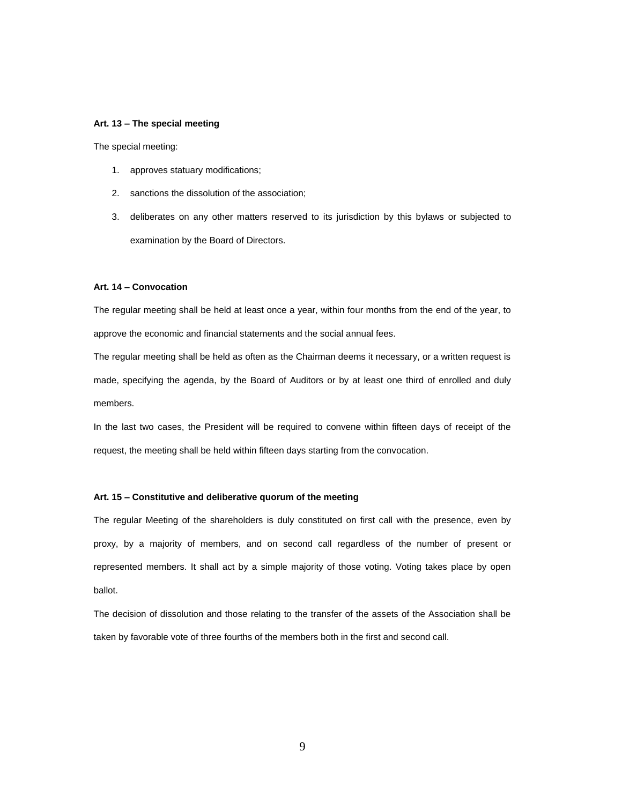#### **Art. 13 – The special meeting**

The special meeting:

- 1. approves statuary modifications;
- 2. sanctions the dissolution of the association;
- 3. deliberates on any other matters reserved to its jurisdiction by this bylaws or subjected to examination by the Board of Directors.

#### **Art. 14 – Convocation**

The regular meeting shall be held at least once a year, within four months from the end of the year, to approve the economic and financial statements and the social annual fees.

The regular meeting shall be held as often as the Chairman deems it necessary, or a written request is made, specifying the agenda, by the Board of Auditors or by at least one third of enrolled and duly members.

In the last two cases, the President will be required to convene within fifteen days of receipt of the request, the meeting shall be held within fifteen days starting from the convocation.

## **Art. 15 – Constitutive and deliberative quorum of the meeting**

The regular Meeting of the shareholders is duly constituted on first call with the presence, even by proxy, by a majority of members, and on second call regardless of the number of present or represented members. It shall act by a simple majority of those voting. Voting takes place by open ballot.

The decision of dissolution and those relating to the transfer of the assets of the Association shall be taken by favorable vote of three fourths of the members both in the first and second call.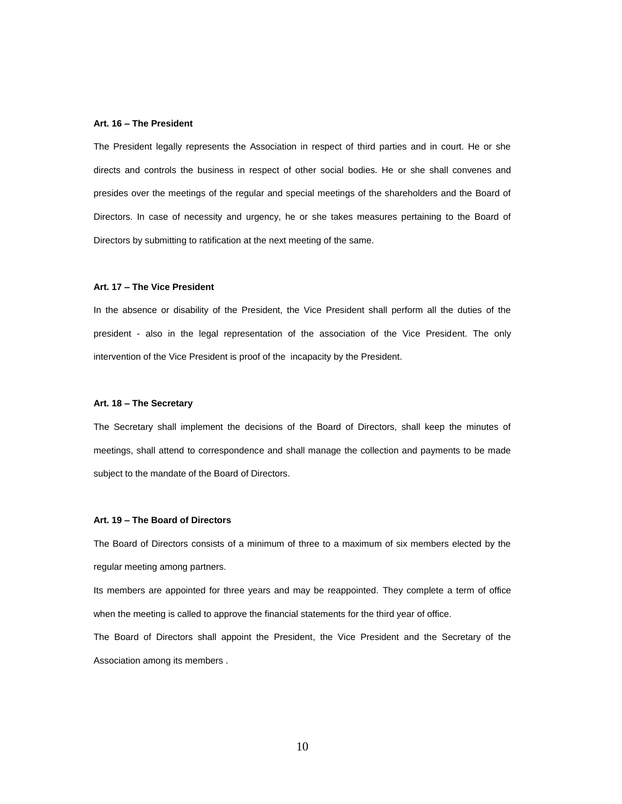#### **Art. 16 – The President**

The President legally represents the Association in respect of third parties and in court. He or she directs and controls the business in respect of other social bodies. He or she shall convenes and presides over the meetings of the regular and special meetings of the shareholders and the Board of Directors. In case of necessity and urgency, he or she takes measures pertaining to the Board of Directors by submitting to ratification at the next meeting of the same.

## **Art. 17 – The Vice President**

In the absence or disability of the President, the Vice President shall perform all the duties of the president - also in the legal representation of the association of the Vice President. The only intervention of the Vice President is proof of the incapacity by the President.

### **Art. 18 – The Secretary**

The Secretary shall implement the decisions of the Board of Directors, shall keep the minutes of meetings, shall attend to correspondence and shall manage the collection and payments to be made subject to the mandate of the Board of Directors.

### **Art. 19 – The Board of Directors**

The Board of Directors consists of a minimum of three to a maximum of six members elected by the regular meeting among partners.

Its members are appointed for three years and may be reappointed. They complete a term of office when the meeting is called to approve the financial statements for the third year of office.

The Board of Directors shall appoint the President, the Vice President and the Secretary of the Association among its members .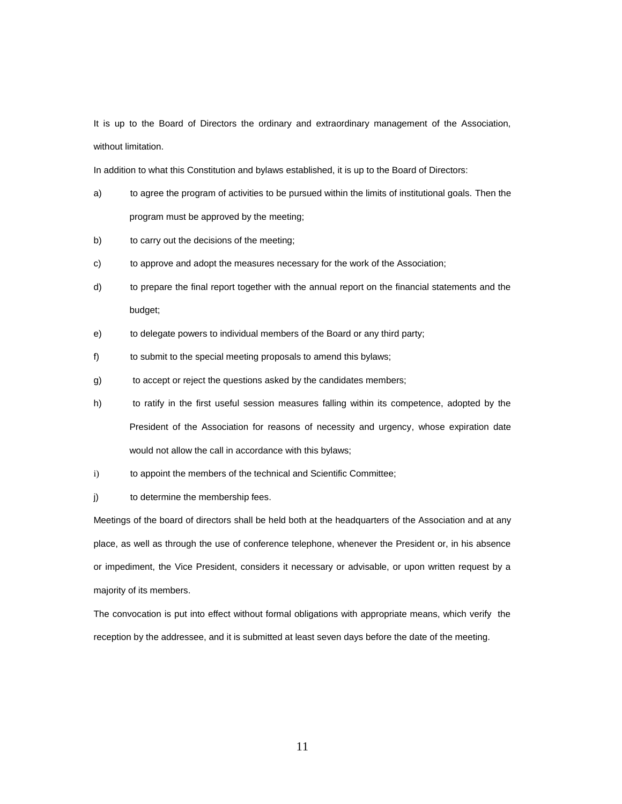It is up to the Board of Directors the ordinary and extraordinary management of the Association, without limitation.

In addition to what this Constitution and bylaws established, it is up to the Board of Directors:

- a) to agree the program of activities to be pursued within the limits of institutional goals. Then the program must be approved by the meeting;
- b) to carry out the decisions of the meeting;
- c) to approve and adopt the measures necessary for the work of the Association;
- d) to prepare the final report together with the annual report on the financial statements and the budget;
- e) to delegate powers to individual members of the Board or any third party;
- f) to submit to the special meeting proposals to amend this bylaws;
- g) to accept or reject the questions asked by the candidates members;
- h) to ratify in the first useful session measures falling within its competence, adopted by the President of the Association for reasons of necessity and urgency, whose expiration date would not allow the call in accordance with this bylaws;
- i) to appoint the members of the technical and Scientific Committee;
- j) to determine the membership fees.

Meetings of the board of directors shall be held both at the headquarters of the Association and at any place, as well as through the use of conference telephone, whenever the President or, in his absence or impediment, the Vice President, considers it necessary or advisable, or upon written request by a majority of its members.

The convocation is put into effect without formal obligations with appropriate means, which verify the reception by the addressee, and it is submitted at least seven days before the date of the meeting.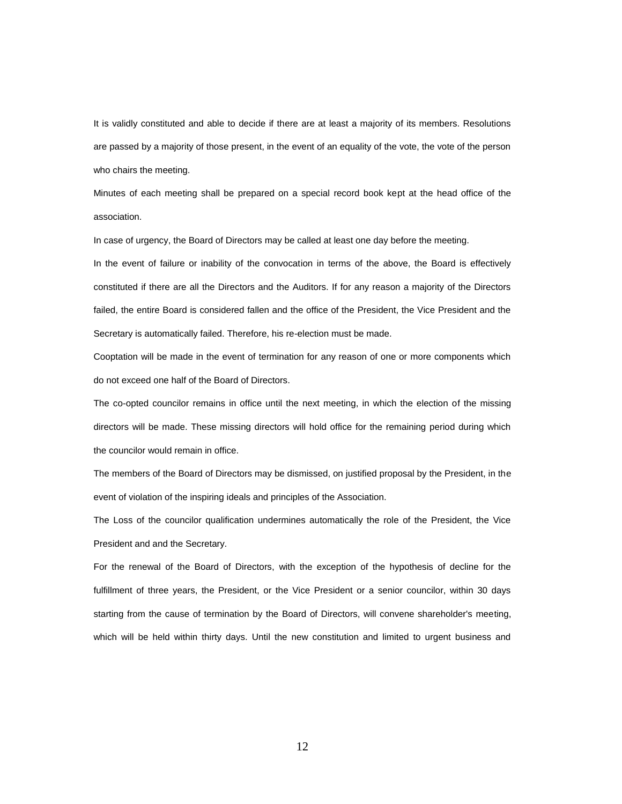It is validly constituted and able to decide if there are at least a majority of its members. Resolutions are passed by a majority of those present, in the event of an equality of the vote, the vote of the person who chairs the meeting.

Minutes of each meeting shall be prepared on a special record book kept at the head office of the association.

In case of urgency, the Board of Directors may be called at least one day before the meeting.

In the event of failure or inability of the convocation in terms of the above, the Board is effectively constituted if there are all the Directors and the Auditors. If for any reason a majority of the Directors failed, the entire Board is considered fallen and the office of the President, the Vice President and the Secretary is automatically failed. Therefore, his re-election must be made.

Cooptation will be made in the event of termination for any reason of one or more components which do not exceed one half of the Board of Directors.

The co-opted councilor remains in office until the next meeting, in which the election of the missing directors will be made. These missing directors will hold office for the remaining period during which the councilor would remain in office.

The members of the Board of Directors may be dismissed, on justified proposal by the President, in the event of violation of the inspiring ideals and principles of the Association.

The Loss of the councilor qualification undermines automatically the role of the President, the Vice President and and the Secretary.

For the renewal of the Board of Directors, with the exception of the hypothesis of decline for the fulfillment of three years, the President, or the Vice President or a senior councilor, within 30 days starting from the cause of termination by the Board of Directors, will convene shareholder's meeting, which will be held within thirty days. Until the new constitution and limited to urgent business and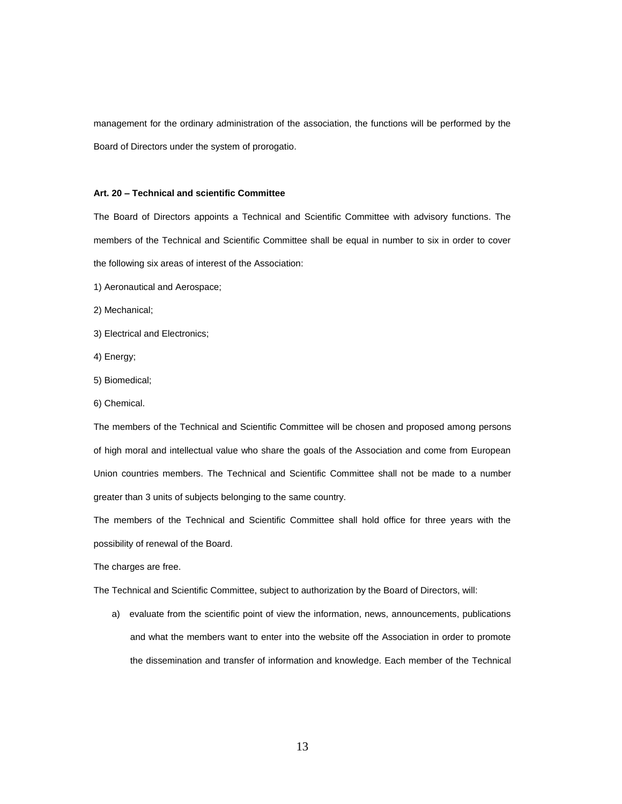management for the ordinary administration of the association, the functions will be performed by the Board of Directors under the system of prorogatio.

#### **Art. 20 – Technical and scientific Committee**

The Board of Directors appoints a Technical and Scientific Committee with advisory functions. The members of the Technical and Scientific Committee shall be equal in number to six in order to cover the following six areas of interest of the Association:

- 1) Aeronautical and Aerospace;
- 2) Mechanical;
- 3) Electrical and Electronics;
- 4) Energy;
- 5) Biomedical;
- 6) Chemical.

The members of the Technical and Scientific Committee will be chosen and proposed among persons of high moral and intellectual value who share the goals of the Association and come from European Union countries members. The Technical and Scientific Committee shall not be made to a number greater than 3 units of subjects belonging to the same country.

The members of the Technical and Scientific Committee shall hold office for three years with the possibility of renewal of the Board.

The charges are free.

The Technical and Scientific Committee, subject to authorization by the Board of Directors, will:

a) evaluate from the scientific point of view the information, news, announcements, publications and what the members want to enter into the website off the Association in order to promote the dissemination and transfer of information and knowledge. Each member of the Technical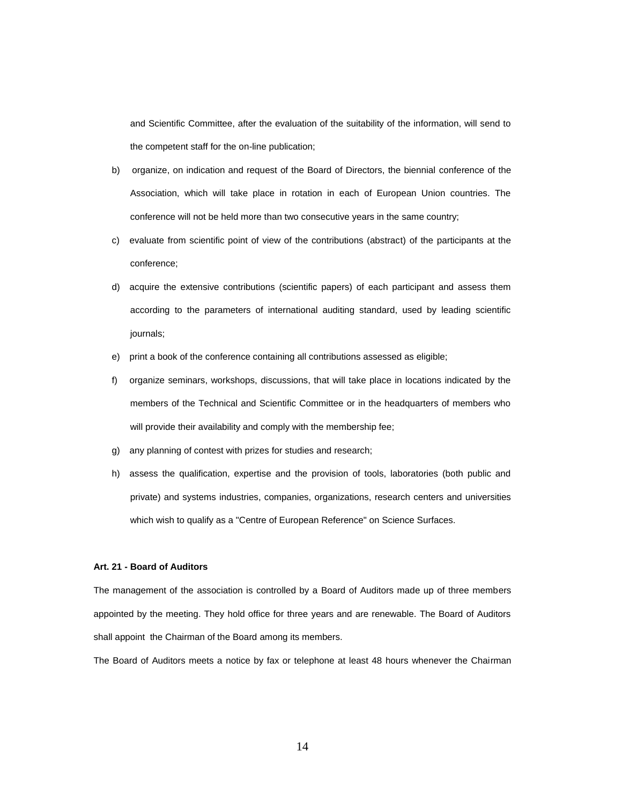and Scientific Committee, after the evaluation of the suitability of the information, will send to the competent staff for the on-line publication;

- b) organize, on indication and request of the Board of Directors, the biennial conference of the Association, which will take place in rotation in each of European Union countries. The conference will not be held more than two consecutive years in the same country;
- c) evaluate from scientific point of view of the contributions (abstract) of the participants at the conference;
- d) acquire the extensive contributions (scientific papers) of each participant and assess them according to the parameters of international auditing standard, used by leading scientific journals;
- e) print a book of the conference containing all contributions assessed as eligible;
- f) organize seminars, workshops, discussions, that will take place in locations indicated by the members of the Technical and Scientific Committee or in the headquarters of members who will provide their availability and comply with the membership fee;
- g) any planning of contest with prizes for studies and research;
- h) assess the qualification, expertise and the provision of tools, laboratories (both public and private) and systems industries, companies, organizations, research centers and universities which wish to qualify as a "Centre of European Reference" on Science Surfaces.

### **Art. 21 - Board of Auditors**

The management of the association is controlled by a Board of Auditors made up of three members appointed by the meeting. They hold office for three years and are renewable. The Board of Auditors shall appoint the Chairman of the Board among its members.

The Board of Auditors meets a notice by fax or telephone at least 48 hours whenever the Chairman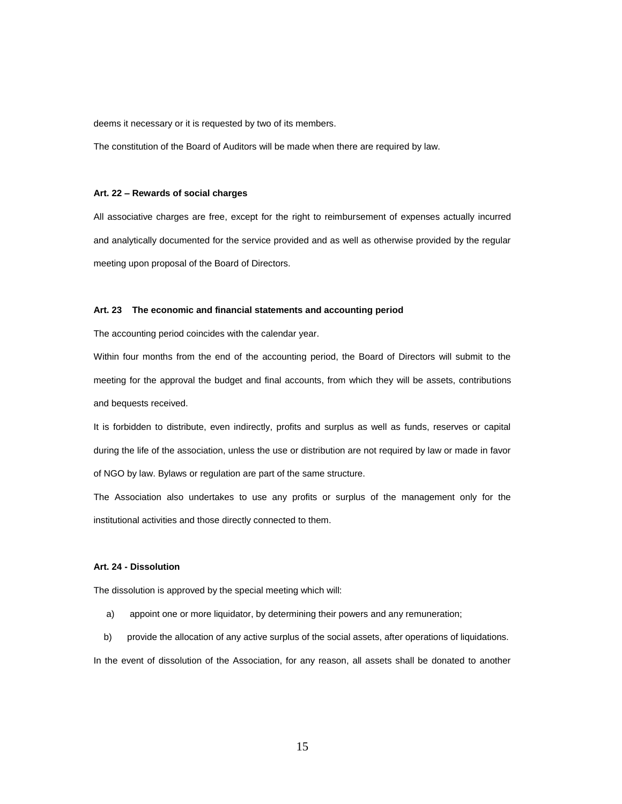deems it necessary or it is requested by two of its members.

The constitution of the Board of Auditors will be made when there are required by law.

#### **Art. 22 – Rewards of social charges**

All associative charges are free, except for the right to reimbursement of expenses actually incurred and analytically documented for the service provided and as well as otherwise provided by the regular meeting upon proposal of the Board of Directors.

#### **Art. 23 The economic and financial statements and accounting period**

The accounting period coincides with the calendar year.

Within four months from the end of the accounting period, the Board of Directors will submit to the meeting for the approval the budget and final accounts, from which they will be assets, contributions and bequests received.

It is forbidden to distribute, even indirectly, profits and surplus as well as funds, reserves or capital during the life of the association, unless the use or distribution are not required by law or made in favor of NGO by law. Bylaws or regulation are part of the same structure.

The Association also undertakes to use any profits or surplus of the management only for the institutional activities and those directly connected to them.

## **Art. 24 - Dissolution**

The dissolution is approved by the special meeting which will:

- a) appoint one or more liquidator, by determining their powers and any remuneration;
- b) provide the allocation of any active surplus of the social assets, after operations of liquidations.

In the event of dissolution of the Association, for any reason, all assets shall be donated to another